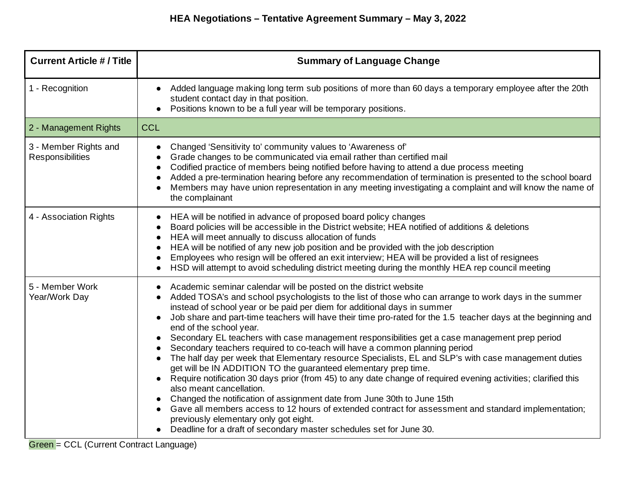| <b>Current Article # / Title</b>          | <b>Summary of Language Change</b>                                                                                                                                                                                                                                                                                                                                                                                                                                                                                                                                                                                                                                                                                                                                                                                                                                                                                                                                                                                                                                                                                                                                                                                                                                             |
|-------------------------------------------|-------------------------------------------------------------------------------------------------------------------------------------------------------------------------------------------------------------------------------------------------------------------------------------------------------------------------------------------------------------------------------------------------------------------------------------------------------------------------------------------------------------------------------------------------------------------------------------------------------------------------------------------------------------------------------------------------------------------------------------------------------------------------------------------------------------------------------------------------------------------------------------------------------------------------------------------------------------------------------------------------------------------------------------------------------------------------------------------------------------------------------------------------------------------------------------------------------------------------------------------------------------------------------|
| 1 - Recognition                           | Added language making long term sub positions of more than 60 days a temporary employee after the 20th<br>$\bullet$<br>student contact day in that position.<br>Positions known to be a full year will be temporary positions.<br>$\bullet$                                                                                                                                                                                                                                                                                                                                                                                                                                                                                                                                                                                                                                                                                                                                                                                                                                                                                                                                                                                                                                   |
| 2 - Management Rights                     | <b>CCL</b>                                                                                                                                                                                                                                                                                                                                                                                                                                                                                                                                                                                                                                                                                                                                                                                                                                                                                                                                                                                                                                                                                                                                                                                                                                                                    |
| 3 - Member Rights and<br>Responsibilities | Changed 'Sensitivity to' community values to 'Awareness of'<br>$\bullet$<br>Grade changes to be communicated via email rather than certified mail<br>$\bullet$<br>Codified practice of members being notified before having to attend a due process meeting<br>$\bullet$<br>Added a pre-termination hearing before any recommendation of termination is presented to the school board<br>$\bullet$<br>Members may have union representation in any meeting investigating a complaint and will know the name of<br>$\bullet$<br>the complainant                                                                                                                                                                                                                                                                                                                                                                                                                                                                                                                                                                                                                                                                                                                                |
| 4 - Association Rights                    | HEA will be notified in advance of proposed board policy changes<br>$\bullet$<br>Board policies will be accessible in the District website; HEA notified of additions & deletions<br>$\bullet$<br>HEA will meet annually to discuss allocation of funds<br>$\bullet$<br>HEA will be notified of any new job position and be provided with the job description<br>$\bullet$<br>Employees who resign will be offered an exit interview; HEA will be provided a list of resignees<br>$\bullet$<br>HSD will attempt to avoid scheduling district meeting during the monthly HEA rep council meeting<br>$\bullet$                                                                                                                                                                                                                                                                                                                                                                                                                                                                                                                                                                                                                                                                  |
| 5 - Member Work<br>Year/Work Day          | Academic seminar calendar will be posted on the district website<br>$\bullet$<br>Added TOSA's and school psychologists to the list of those who can arrange to work days in the summer<br>$\bullet$<br>instead of school year or be paid per diem for additional days in summer<br>Job share and part-time teachers will have their time pro-rated for the 1.5 teacher days at the beginning and<br>$\bullet$<br>end of the school year.<br>Secondary EL teachers with case management responsibilities get a case management prep period<br>$\bullet$<br>Secondary teachers required to co-teach will have a common planning period<br>The half day per week that Elementary resource Specialists, EL and SLP's with case management duties<br>$\bullet$<br>get will be IN ADDITION TO the guaranteed elementary prep time.<br>Require notification 30 days prior (from 45) to any date change of required evening activities; clarified this<br>also meant cancellation.<br>Changed the notification of assignment date from June 30th to June 15th<br>Gave all members access to 12 hours of extended contract for assessment and standard implementation;<br>previously elementary only got eight.<br>Deadline for a draft of secondary master schedules set for June 30. |

Green = CCL (Current Contract Language)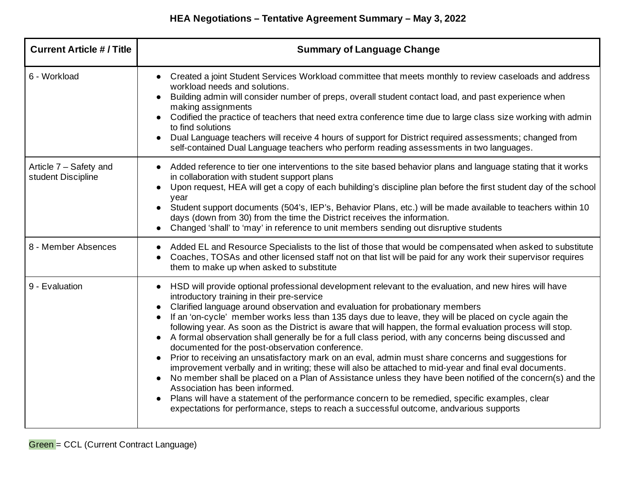| <b>Current Article # / Title</b>             | <b>Summary of Language Change</b>                                                                                                                                                                                                                                                                                                                                                                                                                                                                                                                                                                                                                                                                                                                                                                                                                                                                                                                                                                                                                                                                                                                                                        |
|----------------------------------------------|------------------------------------------------------------------------------------------------------------------------------------------------------------------------------------------------------------------------------------------------------------------------------------------------------------------------------------------------------------------------------------------------------------------------------------------------------------------------------------------------------------------------------------------------------------------------------------------------------------------------------------------------------------------------------------------------------------------------------------------------------------------------------------------------------------------------------------------------------------------------------------------------------------------------------------------------------------------------------------------------------------------------------------------------------------------------------------------------------------------------------------------------------------------------------------------|
| 6 - Workload                                 | Created a joint Student Services Workload committee that meets monthly to review caseloads and address<br>workload needs and solutions.<br>Building admin will consider number of preps, overall student contact load, and past experience when<br>making assignments<br>Codified the practice of teachers that need extra conference time due to large class size working with admin<br>to find solutions<br>Dual Language teachers will receive 4 hours of support for District required assessments; changed from<br>self-contained Dual Language teachers who perform reading assessments in two languages.                                                                                                                                                                                                                                                                                                                                                                                                                                                                                                                                                                          |
| Article 7 - Safety and<br>student Discipline | Added reference to tier one interventions to the site based behavior plans and language stating that it works<br>$\bullet$<br>in collaboration with student support plans<br>Upon request, HEA will get a copy of each buhilding's discipline plan before the first student day of the school<br>year<br>Student support documents (504's, IEP's, Behavior Plans, etc.) will be made available to teachers within 10<br>days (down from 30) from the time the District receives the information.<br>Changed 'shall' to 'may' in reference to unit members sending out disruptive students                                                                                                                                                                                                                                                                                                                                                                                                                                                                                                                                                                                                |
| 8 - Member Absences                          | Added EL and Resource Specialists to the list of those that would be compensated when asked to substitute<br>$\bullet$<br>Coaches, TOSAs and other licensed staff not on that list will be paid for any work their supervisor requires<br>$\bullet$<br>them to make up when asked to substitute                                                                                                                                                                                                                                                                                                                                                                                                                                                                                                                                                                                                                                                                                                                                                                                                                                                                                          |
| 9 - Evaluation                               | HSD will provide optional professional development relevant to the evaluation, and new hires will have<br>introductory training in their pre-service<br>Clarified language around observation and evaluation for probationary members<br>If an 'on-cycle' member works less than 135 days due to leave, they will be placed on cycle again the<br>following year. As soon as the District is aware that will happen, the formal evaluation process will stop.<br>A formal observation shall generally be for a full class period, with any concerns being discussed and<br>documented for the post-observation conference.<br>Prior to receiving an unsatisfactory mark on an eval, admin must share concerns and suggestions for<br>improvement verbally and in writing; these will also be attached to mid-year and final eval documents.<br>No member shall be placed on a Plan of Assistance unless they have been notified of the concern(s) and the<br>Association has been informed.<br>Plans will have a statement of the performance concern to be remedied, specific examples, clear<br>expectations for performance, steps to reach a successful outcome, andvarious supports |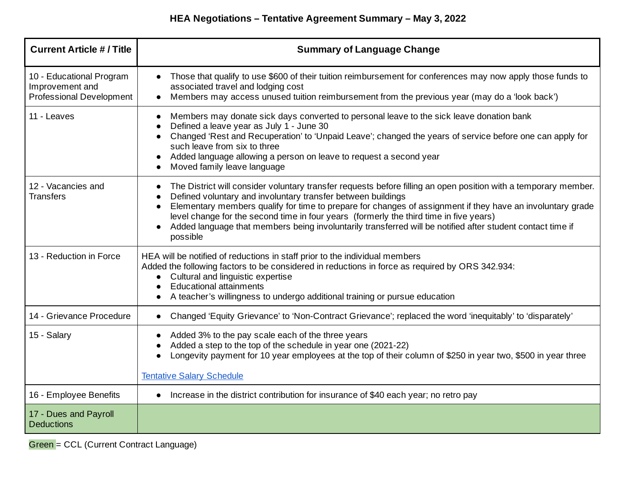## **HEA Negotiations – Tentative Agreement Summary – May 3, 2022**

| <b>Current Article # / Title</b>                                               | <b>Summary of Language Change</b>                                                                                                                                                                                                                                                                                                                                                                                                                                                                                              |
|--------------------------------------------------------------------------------|--------------------------------------------------------------------------------------------------------------------------------------------------------------------------------------------------------------------------------------------------------------------------------------------------------------------------------------------------------------------------------------------------------------------------------------------------------------------------------------------------------------------------------|
| 10 - Educational Program<br>Improvement and<br><b>Professional Development</b> | Those that qualify to use \$600 of their tuition reimbursement for conferences may now apply those funds to<br>associated travel and lodging cost<br>Members may access unused tuition reimbursement from the previous year (may do a 'look back')<br>$\bullet$                                                                                                                                                                                                                                                                |
| 11 - Leaves                                                                    | Members may donate sick days converted to personal leave to the sick leave donation bank<br>$\bullet$<br>Defined a leave year as July 1 - June 30<br>Changed 'Rest and Recuperation' to 'Unpaid Leave'; changed the years of service before one can apply for<br>such leave from six to three<br>Added language allowing a person on leave to request a second year<br>Moved family leave language<br>$\bullet$                                                                                                                |
| 12 - Vacancies and<br><b>Transfers</b>                                         | The District will consider voluntary transfer requests before filling an open position with a temporary member.<br>$\bullet$<br>Defined voluntary and involuntary transfer between buildings<br>Elementary members qualify for time to prepare for changes of assignment if they have an involuntary grade<br>level change for the second time in four years (formerly the third time in five years)<br>Added language that members being involuntarily transferred will be notified after student contact time if<br>possible |
| 13 - Reduction in Force                                                        | HEA will be notified of reductions in staff prior to the individual members<br>Added the following factors to be considered in reductions in force as required by ORS 342.934:<br>Cultural and linguistic expertise<br>$\bullet$<br><b>Educational attainments</b><br>A teacher's willingness to undergo additional training or pursue education                                                                                                                                                                               |
| 14 - Grievance Procedure                                                       | Changed 'Equity Grievance' to 'Non-Contract Grievance'; replaced the word 'inequitably' to 'disparately'<br>$\bullet$                                                                                                                                                                                                                                                                                                                                                                                                          |
| 15 - Salary                                                                    | Added 3% to the pay scale each of the three years<br>$\bullet$<br>Added a step to the top of the schedule in year one (2021-22)<br>Longevity payment for 10 year employees at the top of their column of \$250 in year two, \$500 in year three<br>$\bullet$<br><b>Tentative Salary Schedule</b>                                                                                                                                                                                                                               |
| 16 - Employee Benefits                                                         | Increase in the district contribution for insurance of \$40 each year; no retro pay                                                                                                                                                                                                                                                                                                                                                                                                                                            |
|                                                                                |                                                                                                                                                                                                                                                                                                                                                                                                                                                                                                                                |
| 17 - Dues and Payroll<br><b>Deductions</b>                                     |                                                                                                                                                                                                                                                                                                                                                                                                                                                                                                                                |

Green = CCL (Current Contract Language)